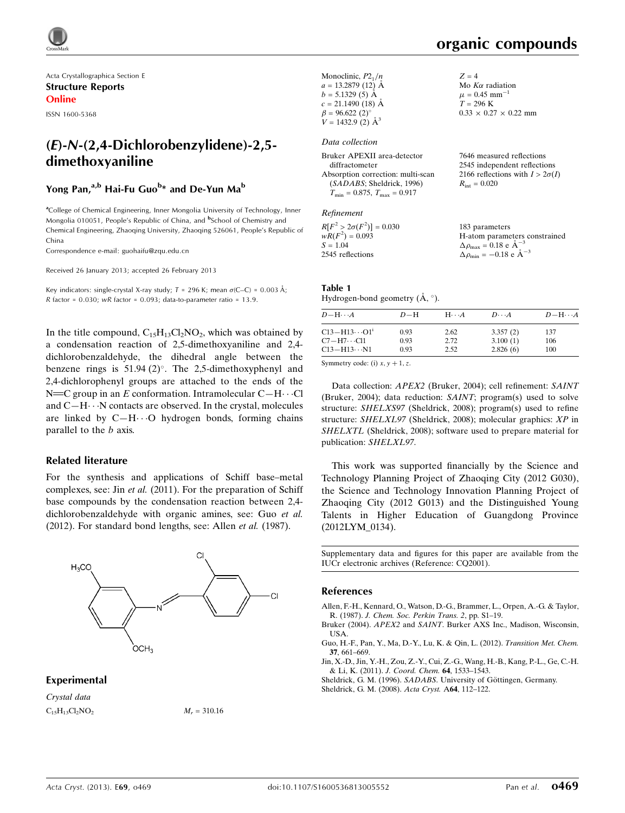Acta Crystallographica Section E Structure Reports Online

ISSN 1600-5368

# (E)-N-(2,4-Dichlorobenzylidene)-2,5 dimethoxyaniline

# Yong Pan,<sup>a,b</sup> Hai-Fu Guo<sup>b</sup>\* and De-Yun Ma<sup>b</sup>

<sup>a</sup>College of Chemical Engineering, Inner Mongolia University of Technology, Inner Mongolia 010051, People's Republic of China, and <sup>b</sup>School of Chemistry and Chemical Engineering, Zhaoqing University, Zhaoqing 526061, People's Republic of China

Correspondence e-mail: [guohaifu@zqu.edu.cn](https://scripts.iucr.org/cgi-bin/cr.cgi?rm=pdfbb&cnor=cq2001&bbid=BB6)

Received 26 January 2013; accepted 26 February 2013

Key indicators: single-crystal X-ray study;  $T = 296$  K; mean  $\sigma$ (C–C) = 0.003 Å; R factor =  $0.030$ ; wR factor =  $0.093$ ; data-to-parameter ratio = 13.9.

In the title compound,  $C_{15}H_{13}Cl_2NO_2$ , which was obtained by a condensation reaction of 2,5-dimethoxyaniline and 2,4 dichlorobenzaldehyde, the dihedral angle between the benzene rings is  $51.94$  (2)°. The 2,5-dimethoxyphenyl and 2,4-dichlorophenyl groups are attached to the ends of the N  $\equiv$  C group in an E conformation. Intramolecular C-H $\cdots$ Cl and  $C-H\cdots N$  contacts are observed. In the crystal, molecules are linked by  $C-H\cdots O$  hydrogen bonds, forming chains parallel to the b axis.

## Related literature

For the synthesis and applications of Schiff base–metal complexes, see: Jin et al. (2011). For the preparation of Schiff base compounds by the condensation reaction between 2,4 dichlorobenzaldehyde with organic amines, see: Guo et al. (2012). For standard bond lengths, see: Allen et al. (1987).



## Experimental

Crystal data  $C_{15}H_{13}Cl_2NO_2$   $M_r = 310.16$ 

| Monoclinic, $P2_1/n$     | $Z = 4$                           |
|--------------------------|-----------------------------------|
| $a = 13.2879(12)$ Å      | Mo $K\alpha$ radiation            |
| $b = 5.1329(5)$ Å        | $\mu = 0.45$ mm <sup>-1</sup>     |
| $c = 21.1490(18)$ Å      | $T = 296 \text{ K}$               |
| $\beta = 96.622(2)$ °    | $0.33 \times 0.27 \times 0.22$ mm |
| $V = 1432.9$ (2) $\AA^3$ |                                   |
|                          |                                   |

#### Data collection

| Bruker APEXII area-detector             | 7646 measured reflections              |
|-----------------------------------------|----------------------------------------|
| diffractometer                          | 2545 independent reflections           |
| Absorption correction: multi-scan       | 2166 reflections with $I > 2\sigma(I)$ |
| (SADABS; Sheldrick, 1996)               | $R_{\rm int} = 0.020$                  |
| $T_{\min} = 0.875$ , $T_{\max} = 0.917$ |                                        |
|                                         |                                        |

#### Refinement

| $R[F^2 > 2\sigma(F^2)] = 0.030$ | 183 parameters                                        |
|---------------------------------|-------------------------------------------------------|
| $wR(F^2) = 0.093$               | H-atom parameters constrained                         |
| $S = 1.04$                      | $\Delta \rho_{\text{max}} = 0.18$ e $\text{\AA}^{-3}$ |
| 2545 reflections                | $\Delta \rho_{\text{min}} = -0.18$ e $\AA^{-3}$       |

#### Table 1

Hydrogen-bond geometry  $(\AA, \degree)$ .

| $D - H \cdots A$        | $D-H$ | $H\cdots A$ | $D\cdots A$ | $D - H \cdots A$ |
|-------------------------|-------|-------------|-------------|------------------|
| $C13 - H13 \cdots O1^i$ | 0.93  | 2.62        | 3.357(2)    | 137              |
| $C7 - H7 \cdots C11$    | 0.93  | 2.72        | 3.100(1)    | 106              |
| $C13 - H13 \cdots N1$   | 0.93  | 2.52        | 2.826(6)    | 100              |

Symmetry code: (i)  $x, y + 1, z$ .

Data collection: APEX2 (Bruker, 2004); cell refinement: SAINT (Bruker, 2004); data reduction: SAINT; program(s) used to solve structure: SHELXS97 (Sheldrick, 2008); program(s) used to refine structure: SHELXL97 (Sheldrick, 2008); molecular graphics: XP in SHELXTL (Sheldrick, 2008); software used to prepare material for publication: SHELXL97.

This work was supported financially by the Science and Technology Planning Project of Zhaoqing City (2012 G030), the Science and Technology Innovation Planning Project of Zhaoqing City (2012 G013) and the Distinguished Young Talents in Higher Education of Guangdong Province (2012LYM\_0134).

Supplementary data and figures for this paper are available from the IUCr electronic archives (Reference: CQ2001).

#### References

[Allen, F.-H., Kennard, O., Watson, D.-G., Brammer, L., Orpen, A.-G. & Taylor,](https://scripts.iucr.org/cgi-bin/cr.cgi?rm=pdfbb&cnor=cq2001&bbid=BB1) R. (1987). [J. Chem. Soc. Perkin Trans. 2](https://scripts.iucr.org/cgi-bin/cr.cgi?rm=pdfbb&cnor=cq2001&bbid=BB1), pp. S1–19.

Bruker (2004). APEX2 and SAINT[. Burker AXS Inc., Madison, Wisconsin,](https://scripts.iucr.org/cgi-bin/cr.cgi?rm=pdfbb&cnor=cq2001&bbid=BB2) [USA.](https://scripts.iucr.org/cgi-bin/cr.cgi?rm=pdfbb&cnor=cq2001&bbid=BB2)

[Guo, H.-F., Pan, Y., Ma, D.-Y., Lu, K. & Qin, L. \(2012\).](https://scripts.iucr.org/cgi-bin/cr.cgi?rm=pdfbb&cnor=cq2001&bbid=BB3) Transition Met. Chem. 37[, 661–669.](https://scripts.iucr.org/cgi-bin/cr.cgi?rm=pdfbb&cnor=cq2001&bbid=BB3)

[Jin, X.-D., Jin, Y.-H., Zou, Z.-Y., Cui, Z.-G., Wang, H.-B., Kang, P.-L., Ge, C.-H.](https://scripts.iucr.org/cgi-bin/cr.cgi?rm=pdfbb&cnor=cq2001&bbid=BB4) & Li, K. (2011). [J. Coord. Chem.](https://scripts.iucr.org/cgi-bin/cr.cgi?rm=pdfbb&cnor=cq2001&bbid=BB4) 64, 1533–1543.

Sheldrick, G. M. (1996). SADABS. University of Göttingen, Germany.

[Sheldrick, G. M. \(2008\).](https://scripts.iucr.org/cgi-bin/cr.cgi?rm=pdfbb&cnor=cq2001&bbid=BB6) Acta Cryst. A64, 112–122.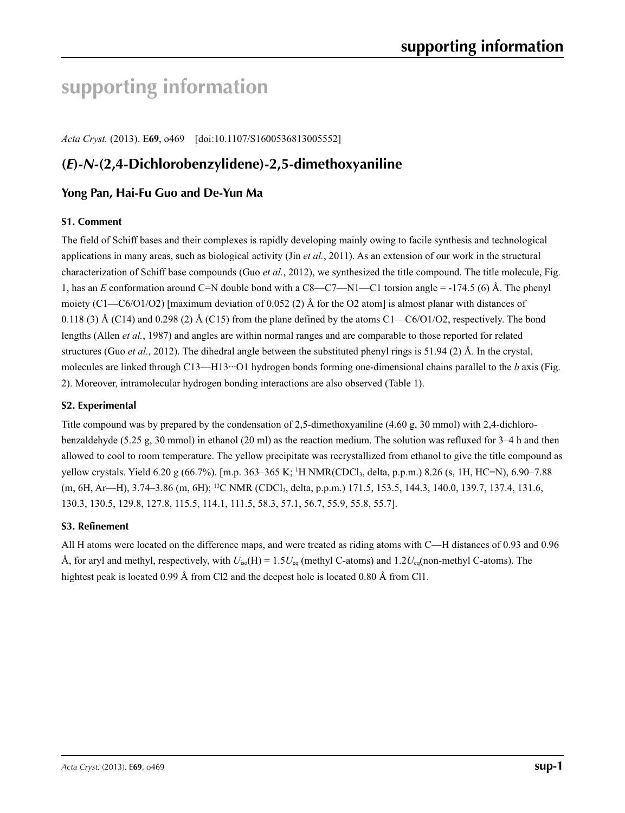# **supporting information**

*Acta Cryst.* (2013). E**69**, o469 [doi:10.1107/S1600536813005552]

# **(***E***)-***N***-(2,4-Dichlorobenzylidene)-2,5-dimethoxyaniline**

# **Yong Pan, Hai-Fu Guo and De-Yun Ma**

# **S1. Comment**

The field of Schiff bases and their complexes is rapidly developing mainly owing to facile synthesis and technological applications in many areas, such as biological activity (Jin *et al.*, 2011). As an extension of our work in the structural characterization of Schiff base compounds (Guo *et al.*, 2012), we synthesized the title compound. The title molecule, Fig. 1, has an *E* conformation around C=N double bond with a C8—C7—N1—C1 torsion angle = -174.5 (6) Å. The phenyl moiety (C1—C6/O1/O2) [maximum deviation of 0.052 (2) Å for the O2 atom] is almost planar with distances of 0.118 (3) Å (C14) and 0.298 (2) Å (C15) from the plane defined by the atoms C1—C6/O1/O2, respectively. The bond lengths (Allen *et al.*, 1987) and angles are within normal ranges and are comparable to those reported for related structures (Guo *et al.*, 2012). The dihedral angle between the substituted phenyl rings is 51.94 (2) Å. In the crystal, molecules are linked through C13—H13···O1 hydrogen bonds forming one-dimensional chains parallel to the *b* axis (Fig. 2). Moreover, intramolecular hydrogen bonding interactions are also observed (Table 1).

## **S2. Experimental**

Title compound was by prepared by the condensation of 2,5-dimethoxyaniline (4.60 g, 30 mmol) with 2,4-dichlorobenzaldehyde (5.25 g, 30 mmol) in ethanol (20 ml) as the reaction medium. The solution was refluxed for 3–4 h and then allowed to cool to room temperature. The yellow precipitate was recrystallized from ethanol to give the title compound as yellow crystals. Yield 6.20 g (66.7%). [m.p. 363–365 K; 1 H NMR(CDCl3, delta, p.p.m.) 8.26 (s, 1H, HC=N), 6.90–7.88 (m, 6H, Ar—H), 3.74–3.86 (m, 6H); <sup>13</sup>C NMR (CDCl<sub>3</sub>, delta, p.p.m.) 171.5, 153.5, 144.3, 140.0, 139.7, 137.4, 131.6, 130.3, 130.5, 129.8, 127.8, 115.5, 114.1, 111.5, 58.3, 57.1, 56.7, 55.9, 55.8, 55.7].

## **S3. Refinement**

All H atoms were located on the difference maps, and were treated as riding atoms with C—H distances of 0.93 and 0.96 Å, for aryl and methyl, respectively, with *U*iso(H) = 1.5*U*eq (methyl C-atoms) and 1.2*U*eq(non-methyl C-atoms). The hightest peak is located 0.99 Å from Cl2 and the deepest hole is located 0.80 Å from Cl1.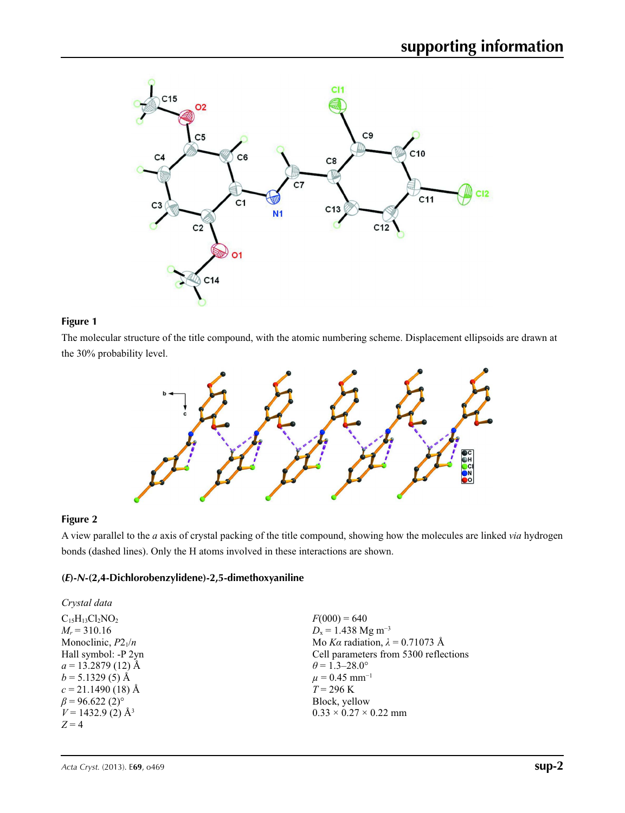

## **Figure 1**

The molecular structure of the title compound, with the atomic numbering scheme. Displacement ellipsoids are drawn at the 30% probability level.



# **Figure 2**

A view parallel to the *a* axis of crystal packing of the title compound, showing how the molecules are linked *via* hydrogen bonds (dashed lines). Only the H atoms involved in these interactions are shown.

# **(***E***)-***N***-(2,4-Dichlorobenzylidene)-2,5-dimethoxyaniline**

| Crystal data                      |                                        |
|-----------------------------------|----------------------------------------|
| $C_{15}H_{13}Cl_2NO_2$            | $F(000) = 640$                         |
| $M_r = 310.16$                    | $D_x = 1.438$ Mg m <sup>-3</sup>       |
| Monoclinic, $P2_1/n$              | Mo Ka radiation, $\lambda = 0.71073$ Å |
| Hall symbol: -P 2yn               | Cell parameters from 5300 reflections  |
| $a = 13.2879(12)$ Å               | $\theta$ = 1.3–28.0°                   |
| $b = 5.1329(5)$ Å                 | $\mu = 0.45$ mm <sup>-1</sup>          |
| $c = 21.1490(18)$ Å               | $T = 296 \text{ K}$                    |
| $\beta$ = 96.622 (2) <sup>o</sup> | Block, yellow                          |
| $V = 1432.9$ (2) Å <sup>3</sup>   | $0.33 \times 0.27 \times 0.22$ mm      |
| $Z=4$                             |                                        |
|                                   |                                        |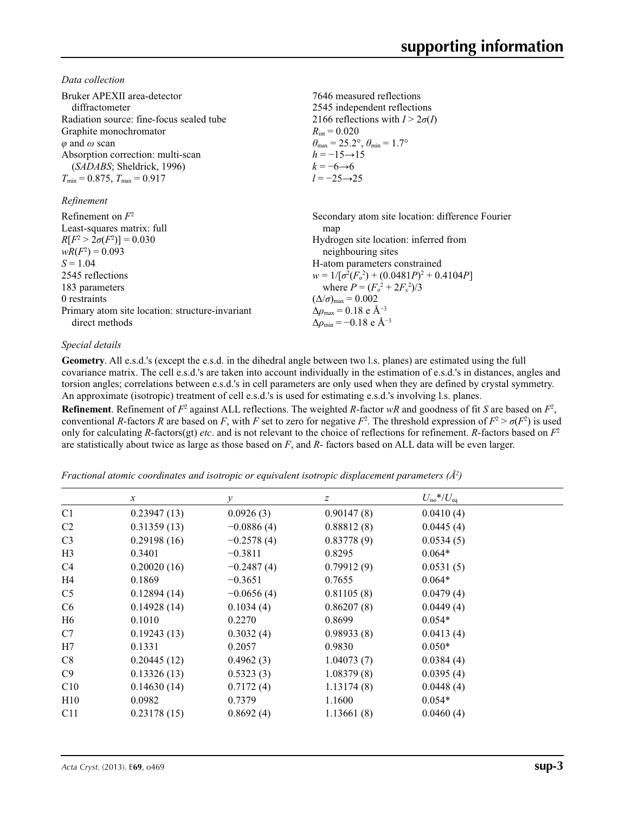*Data collection*

| Bruker APEXII area-detector<br>diffractometer<br>Radiation source: fine-focus sealed tube<br>Graphite monochromator<br>$\varphi$ and $\omega$ scan<br>Absorption correction: multi-scan<br>(SADABS; Sheldrick, 1996)<br>$T_{\min}$ = 0.875, $T_{\max}$ = 0.917<br>Refinement | 7646 measured reflections<br>2545 independent reflections<br>2166 reflections with $I > 2\sigma(I)$<br>$R_{\rm int} = 0.020$<br>$\theta_{\text{max}} = 25.2^{\circ}, \theta_{\text{min}} = 1.7^{\circ}$<br>$h = -15 \rightarrow 15$<br>$k = -6 \rightarrow 6$<br>$l = -25 \rightarrow 25$ |
|------------------------------------------------------------------------------------------------------------------------------------------------------------------------------------------------------------------------------------------------------------------------------|-------------------------------------------------------------------------------------------------------------------------------------------------------------------------------------------------------------------------------------------------------------------------------------------|
| Refinement on $F^2$                                                                                                                                                                                                                                                          | Secondary atom site location: difference Fourier                                                                                                                                                                                                                                          |
| Least-squares matrix: full                                                                                                                                                                                                                                                   | map                                                                                                                                                                                                                                                                                       |
| $R[F^2 > 2\sigma(F^2)] = 0.030$                                                                                                                                                                                                                                              | Hydrogen site location: inferred from                                                                                                                                                                                                                                                     |
| $wR(F^2) = 0.093$                                                                                                                                                                                                                                                            | neighbouring sites                                                                                                                                                                                                                                                                        |
| $S = 1.04$                                                                                                                                                                                                                                                                   | H-atom parameters constrained                                                                                                                                                                                                                                                             |
| 2545 reflections                                                                                                                                                                                                                                                             | $w = 1/[\sigma^2(F_0^2) + (0.0481P)^2 + 0.4104P]$                                                                                                                                                                                                                                         |
| 183 parameters                                                                                                                                                                                                                                                               | where $P = (F_o^2 + 2F_c^2)/3$                                                                                                                                                                                                                                                            |
| 0 restraints                                                                                                                                                                                                                                                                 | $(\Delta/\sigma)_{\text{max}} = 0.002$                                                                                                                                                                                                                                                    |
| Primary atom site location: structure-invariant                                                                                                                                                                                                                              | $\Delta\rho_{\rm max} = 0.18$ e Å <sup>-3</sup>                                                                                                                                                                                                                                           |
| direct methods                                                                                                                                                                                                                                                               | $\Delta\rho_{\rm min} = -0.18$ e Å <sup>-3</sup>                                                                                                                                                                                                                                          |

## *Special details*

**Geometry**. All e.s.d.'s (except the e.s.d. in the dihedral angle between two l.s. planes) are estimated using the full covariance matrix. The cell e.s.d.'s are taken into account individually in the estimation of e.s.d.'s in distances, angles and torsion angles; correlations between e.s.d.'s in cell parameters are only used when they are defined by crystal symmetry. An approximate (isotropic) treatment of cell e.s.d.'s is used for estimating e.s.d.'s involving l.s. planes.

**Refinement**. Refinement of  $F^2$  against ALL reflections. The weighted R-factor wR and goodness of fit *S* are based on  $F^2$ , conventional *R*-factors *R* are based on *F*, with *F* set to zero for negative  $F^2$ . The threshold expression of  $F^2 > \sigma(F^2)$  is used only for calculating *R*-factors(gt) *etc*. and is not relevant to the choice of reflections for refinement. *R*-factors based on *F*<sup>2</sup> are statistically about twice as large as those based on *F*, and *R*- factors based on ALL data will be even larger.

*Fractional atomic coordinates and isotropic or equivalent isotropic displacement parameters (Å<sup>2</sup>)* 

|                | $\mathcal{X}$ | $\mathcal{Y}$ | $\boldsymbol{Z}$ | $U_{\rm iso}*/U_{\rm eq}$ |  |
|----------------|---------------|---------------|------------------|---------------------------|--|
| C <sub>1</sub> | 0.23947(13)   | 0.0926(3)     | 0.90147(8)       | 0.0410(4)                 |  |
| C <sub>2</sub> | 0.31359(13)   | $-0.0886(4)$  | 0.88812(8)       | 0.0445(4)                 |  |
| C <sub>3</sub> | 0.29198(16)   | $-0.2578(4)$  | 0.83778(9)       | 0.0534(5)                 |  |
| H <sub>3</sub> | 0.3401        | $-0.3811$     | 0.8295           | $0.064*$                  |  |
| C4             | 0.20020(16)   | $-0.2487(4)$  | 0.79912(9)       | 0.0531(5)                 |  |
| H4             | 0.1869        | $-0.3651$     | 0.7655           | $0.064*$                  |  |
| C <sub>5</sub> | 0.12894(14)   | $-0.0656(4)$  | 0.81105(8)       | 0.0479(4)                 |  |
| C <sub>6</sub> | 0.14928(14)   | 0.1034(4)     | 0.86207(8)       | 0.0449(4)                 |  |
| H <sub>6</sub> | 0.1010        | 0.2270        | 0.8699           | $0.054*$                  |  |
| C7             | 0.19243(13)   | 0.3032(4)     | 0.98933(8)       | 0.0413(4)                 |  |
| H7             | 0.1331        | 0.2057        | 0.9830           | $0.050*$                  |  |
| C8             | 0.20445(12)   | 0.4962(3)     | 1.04073(7)       | 0.0384(4)                 |  |
| C9             | 0.13326(13)   | 0.5323(3)     | 1.08379(8)       | 0.0395(4)                 |  |
| C10            | 0.14630(14)   | 0.7172(4)     | 1.13174(8)       | 0.0448(4)                 |  |
| H10            | 0.0982        | 0.7379        | 1.1600           | $0.054*$                  |  |
| C11            | 0.23178(15)   | 0.8692(4)     | 1.13661(8)       | 0.0460(4)                 |  |
|                |               |               |                  |                           |  |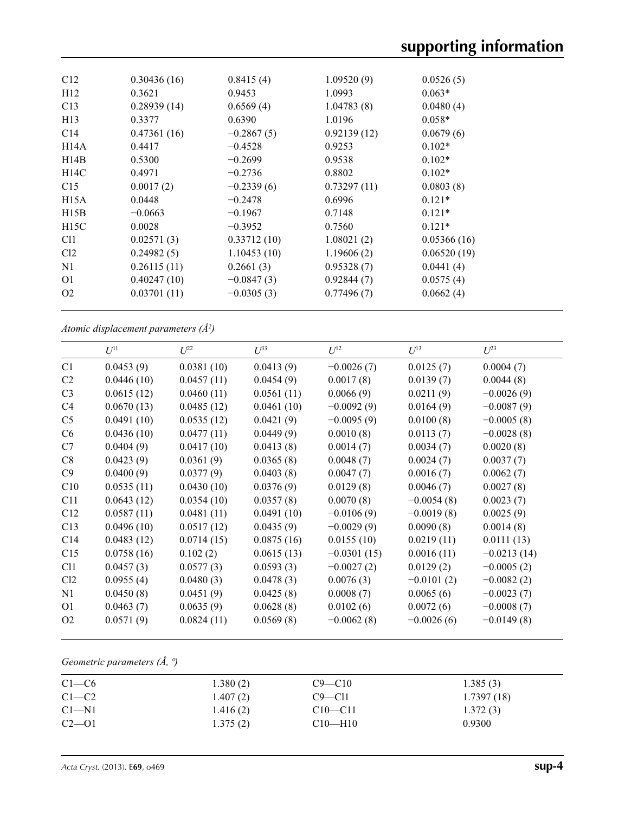| C12             | 0.30436(16) | 0.8415(4)    | 1.09520(9)  | 0.0526(5)   |  |
|-----------------|-------------|--------------|-------------|-------------|--|
| H12             | 0.3621      | 0.9453       | 1.0993      | $0.063*$    |  |
| C13             | 0.28939(14) | 0.6569(4)    | 1.04783(8)  | 0.0480(4)   |  |
| H13             | 0.3377      | 0.6390       | 1.0196      | $0.058*$    |  |
| C <sub>14</sub> | 0.47361(16) | $-0.2867(5)$ | 0.92139(12) | 0.0679(6)   |  |
| H14A            | 0.4417      | $-0.4528$    | 0.9253      | $0.102*$    |  |
| H14B            | 0.5300      | $-0.2699$    | 0.9538      | $0.102*$    |  |
| H14C            | 0.4971      | $-0.2736$    | 0.8802      | $0.102*$    |  |
| C15             | 0.0017(2)   | $-0.2339(6)$ | 0.73297(11) | 0.0803(8)   |  |
| H15A            | 0.0448      | $-0.2478$    | 0.6996      | $0.121*$    |  |
| H15B            | $-0.0663$   | $-0.1967$    | 0.7148      | $0.121*$    |  |
| H15C            | 0.0028      | $-0.3952$    | 0.7560      | $0.121*$    |  |
| C <sub>11</sub> | 0.02571(3)  | 0.33712(10)  | 1.08021(2)  | 0.05366(16) |  |
| Cl <sub>2</sub> | 0.24982(5)  | 1.10453(10)  | 1.19606(2)  | 0.06520(19) |  |
| N1              | 0.26115(11) | 0.2661(3)    | 0.95328(7)  | 0.0441(4)   |  |
| O <sub>1</sub>  | 0.40247(10) | $-0.0847(3)$ | 0.92844(7)  | 0.0575(4)   |  |
| O <sub>2</sub>  | 0.03701(11) | $-0.0305(3)$ | 0.77496(7)  | 0.0662(4)   |  |
|                 |             |              |             |             |  |

*Atomic displacement parameters (Å2 )*

|                 | $U^{11}$   | $\mathcal{I}^{22}$ | $\mathcal{L}^{\beta 3}$ | $U^{12}$      | $U^{13}$     | $L^{23}$      |
|-----------------|------------|--------------------|-------------------------|---------------|--------------|---------------|
| C <sub>1</sub>  | 0.0453(9)  | 0.0381(10)         | 0.0413(9)               | $-0.0026(7)$  | 0.0125(7)    | 0.0004(7)     |
| C2              | 0.0446(10) | 0.0457(11)         | 0.0454(9)               | 0.0017(8)     | 0.0139(7)    | 0.0044(8)     |
| C <sub>3</sub>  | 0.0615(12) | 0.0460(11)         | 0.0561(11)              | 0.0066(9)     | 0.0211(9)    | $-0.0026(9)$  |
| C <sub>4</sub>  | 0.0670(13) | 0.0485(12)         | 0.0461(10)              | $-0.0092(9)$  | 0.0164(9)    | $-0.0087(9)$  |
| C <sub>5</sub>  | 0.0491(10) | 0.0535(12)         | 0.0421(9)               | $-0.0095(9)$  | 0.0100(8)    | $-0.0005(8)$  |
| C <sub>6</sub>  | 0.0436(10) | 0.0477(11)         | 0.0449(9)               | 0.0010(8)     | 0.0113(7)    | $-0.0028(8)$  |
| C7              | 0.0404(9)  | 0.0417(10)         | 0.0413(8)               | 0.0014(7)     | 0.0034(7)    | 0.0020(8)     |
| C8              | 0.0423(9)  | 0.0361(9)          | 0.0365(8)               | 0.0048(7)     | 0.0024(7)    | 0.0037(7)     |
| C9              | 0.0400(9)  | 0.0377(9)          | 0.0403(8)               | 0.0047(7)     | 0.0016(7)    | 0.0062(7)     |
| C10             | 0.0535(11) | 0.0430(10)         | 0.0376(9)               | 0.0129(8)     | 0.0046(7)    | 0.0027(8)     |
| C11             | 0.0643(12) | 0.0354(10)         | 0.0357(8)               | 0.0070(8)     | $-0.0054(8)$ | 0.0023(7)     |
| C12             | 0.0587(11) | 0.0481(11)         | 0.0491(10)              | $-0.0106(9)$  | $-0.0019(8)$ | 0.0025(9)     |
| C13             | 0.0496(10) | 0.0517(12)         | 0.0435(9)               | $-0.0029(9)$  | 0.0090(8)    | 0.0014(8)     |
| C <sub>14</sub> | 0.0483(12) | 0.0714(15)         | 0.0875(16)              | 0.0155(10)    | 0.0219(11)   | 0.0111(13)    |
| C15             | 0.0758(16) | 0.102(2)           | 0.0615(13)              | $-0.0301(15)$ | 0.0016(11)   | $-0.0213(14)$ |
| C <sub>11</sub> | 0.0457(3)  | 0.0577(3)          | 0.0593(3)               | $-0.0027(2)$  | 0.0129(2)    | $-0.0005(2)$  |
| Cl2             | 0.0955(4)  | 0.0480(3)          | 0.0478(3)               | 0.0076(3)     | $-0.0101(2)$ | $-0.0082(2)$  |
| N1              | 0.0450(8)  | 0.0451(9)          | 0.0425(8)               | 0.0008(7)     | 0.0065(6)    | $-0.0023(7)$  |
| O <sub>1</sub>  | 0.0463(7)  | 0.0635(9)          | 0.0628(8)               | 0.0102(6)     | 0.0072(6)    | $-0.0008(7)$  |
| O <sub>2</sub>  | 0.0571(9)  | 0.0824(11)         | 0.0569(8)               | $-0.0062(8)$  | $-0.0026(6)$ | $-0.0149(8)$  |
|                 |            |                    |                         |               |              |               |

# *Geometric parameters (Å, º)*

| $C1-C6$   | 1.380(2) | $C9 - C10$    | 1.385(3)   |
|-----------|----------|---------------|------------|
| $C1-C2$   | 1.407(2) | $C9 - C11$    | 1.7397(18) |
| $C1-M1$   | 1.416(2) | $C10 - C11$   | 1.372(3)   |
| $C2 - 01$ | 1.375(2) | $C10$ —H $10$ | 0.9300     |
|           |          |               |            |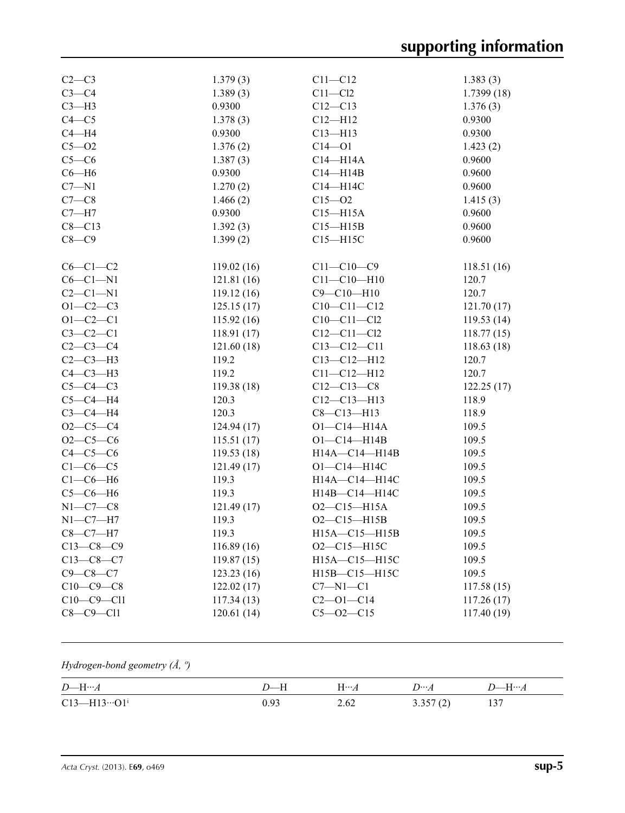| $C2-C3$        | 1.379(3)   | $C11 - C12$       | 1.383(3)   |
|----------------|------------|-------------------|------------|
| $C3-C4$        | 1.389(3)   | $C11 - C12$       | 1.7399(18) |
| $C3-H3$        | 0.9300     | $C12 - C13$       | 1.376(3)   |
| $C4 - C5$      | 1.378(3)   | $C12 - H12$       | 0.9300     |
| $C4 - H4$      | 0.9300     | $C13 - H13$       | 0.9300     |
| $C5 - O2$      | 1.376(2)   | $C14 - O1$        | 1.423(2)   |
| $C5-C6$        | 1.387(3)   | $C14 - H14A$      | 0.9600     |
| $C6 - H6$      | 0.9300     | $C14 - H14B$      | 0.9600     |
| $C7 - N1$      | 1.270(2)   | C14-H14C          | 0.9600     |
| $C7-C8$        | 1.466(2)   | $C15 - 02$        | 1.415(3)   |
| $C7 - H7$      | 0.9300     | $C15 - H15A$      | 0.9600     |
| $C8 - C13$     | 1.392(3)   | $C15 - H15B$      | 0.9600     |
| $C8-C9$        | 1.399(2)   | $C15 - H15C$      | 0.9600     |
| $C6-C1-C2$     | 119.02(16) | $C11 - C10 - C9$  | 118.51(16) |
| $C6-C1-N1$     | 121.81(16) | $C11 - C10 - H10$ | 120.7      |
| $C2-C1-N1$     | 119.12(16) | $C9 - C10 - H10$  | 120.7      |
| $O1 - C2 - C3$ | 125.15(17) | $C10-C11-C12$     | 121.70(17) |
| $O1 - C2 - C1$ | 115.92(16) | $C10 - C11 - C12$ | 119.53(14) |
| $C3-C2-C1$     | 118.91(17) | $C12 - C11 - C12$ | 118.77(15) |
| $C2-C3-C4$     | 121.60(18) | $C13 - C12 - C11$ | 118.63(18) |
| $C2-C3-H3$     | 119.2      | $C13 - C12 - H12$ | 120.7      |
| $C4-C3-H3$     | 119.2      | $C11 - C12 - H12$ | 120.7      |
| $C5-C4-C3$     | 119.38(18) | $C12-C13-C8$      | 122.25(17) |
| $C5-C4-H4$     | 120.3      | $C12-C13-H13$     | 118.9      |
| $C3-C4-H4$     | 120.3      | $C8 - C13 - H13$  | 118.9      |
| $O2 - C5 - C4$ | 124.94(17) | $O1 - C14 - H14A$ | 109.5      |
| $O2-C5-C6$     | 115.51(17) | $O1 - C14 - H14B$ | 109.5      |
| $C4-C5-C6$     | 119.53(18) | H14A-C14-H14B     | 109.5      |
| $C1-C6-C5$     | 121.49(17) | $O1 - C14 - H14C$ | 109.5      |
| $C1-C6-H6$     | 119.3      | H14A-C14-H14C     | 109.5      |
| $C5-C6-H6$     | 119.3      | H14B-C14-H14C     | 109.5      |
| $N1-C7-C8$     | 121.49(17) | $O2 - C15 - H15A$ | 109.5      |
| $N1-C7-H7$     | 119.3      | $O2 - C15 - H15B$ | 109.5      |
| $C8-C7-H7$     | 119.3      | H15A-C15-H15B     | 109.5      |
| $C13-C8-C9$    | 116.89(16) | $O2 - C15 - H15C$ | 109.5      |
| $C13-C8-C7$    | 119.87(15) | H15A-C15-H15C     | 109.5      |
| $C9 - C8 - C7$ | 123.23(16) | H15B-C15-H15C     | 109.5      |
| $C10-C9-C8$    | 122.02(17) | $C7 - N1 - C1$    | 117.58(15) |
| $C10-C9-C11$   | 117.34(13) | $C2 - 01 - C14$   | 117.26(17) |
| $C8-C9-C11$    | 120.61(14) | $C5 - O2 - C15$   | 117.40(19) |
|                |            |                   |            |

# *Hydrogen-bond geometry (Å, º)*

| $D$ —H… $A$        | $D$ —H | $H \cdots A$ | $D \cdots A$ | $D$ H $$ $A$ |
|--------------------|--------|--------------|--------------|--------------|
| $C13$ —H13… $O1^1$ |        | 2.62         | 3.357(2)     | 137          |